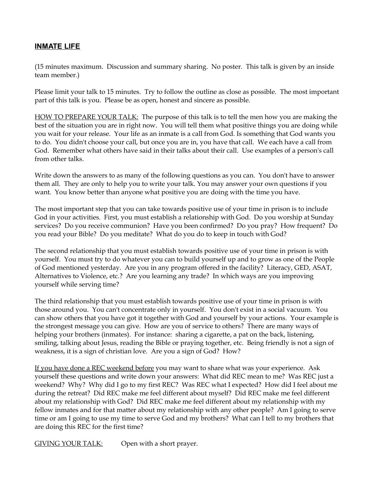## **INMATE LIFE**

(15 minutes maximum. Discussion and summary sharing. No poster. This talk is given by an inside team member.)

Please limit your talk to 15 minutes. Try to follow the outline as close as possible. The most important part of this talk is you. Please be as open, honest and sincere as possible.

HOW TO PREPARE YOUR TALK: The purpose of this talk is to tell the men how you are making the best of the situation you are in right now. You will tell them what positive things you are doing while you wait for your release. Your life as an inmate is a call from God. Is something that God wants you to do. You didn't choose your call, but once you are in, you have that call. We each have a call from God. Remember what others have said in their talks about their call. Use examples of a person's call from other talks.

Write down the answers to as many of the following questions as you can. You don't have to answer them all. They are only to help you to write your talk. You may answer your own questions if you want. You know better than anyone what positive you are doing with the time you have.

The most important step that you can take towards positive use of your time in prison is to include God in your activities. First, you must establish a relationship with God. Do you worship at Sunday services? Do you receive communion? Have you been confirmed? Do you pray? How frequent? Do you read your Bible? Do you meditate? What do you do to keep in touch with God?

The second relationship that you must establish towards positive use of your time in prison is with yourself. You must try to do whatever you can to build yourself up and to grow as one of the People of God mentioned yesterday. Are you in any program offered in the facility? Literacy, GED, ASAT, Alternatives to Violence, etc.? Are you learning any trade? In which ways are you improving yourself while serving time?

The third relationship that you must establish towards positive use of your time in prison is with those around you. You can't concentrate only in yourself. You don't exist in a social vacuum. You can show others that you have got it together with God and yourself by your actions. Your example is the strongest message you can give. How are you of service to others? There are many ways of helping your brothers (inmates). For instance: sharing a cigarette, a pat on the back, listening, smiling, talking about Jesus, reading the Bible or praying together, etc. Being friendly is not a sign of weakness, it is a sign of christian love. Are you a sign of God? How?

If you have done a REC weekend before you may want to share what was your experience. Ask yourself these questions and write down your answers: What did REC mean to me? Was REC just a weekend? Why? Why did I go to my first REC? Was REC what I expected? How did I feel about me during the retreat? Did REC make me feel different about myself? Did REC make me feel different about my relationship with God? Did REC make me feel different about my relationship with my fellow inmates and for that matter about my relationship with any other people? Am I going to serve time or am I going to use my time to serve God and my brothers? What can I tell to my brothers that are doing this REC for the first time?

GIVING YOUR TALK: Open with a short prayer.